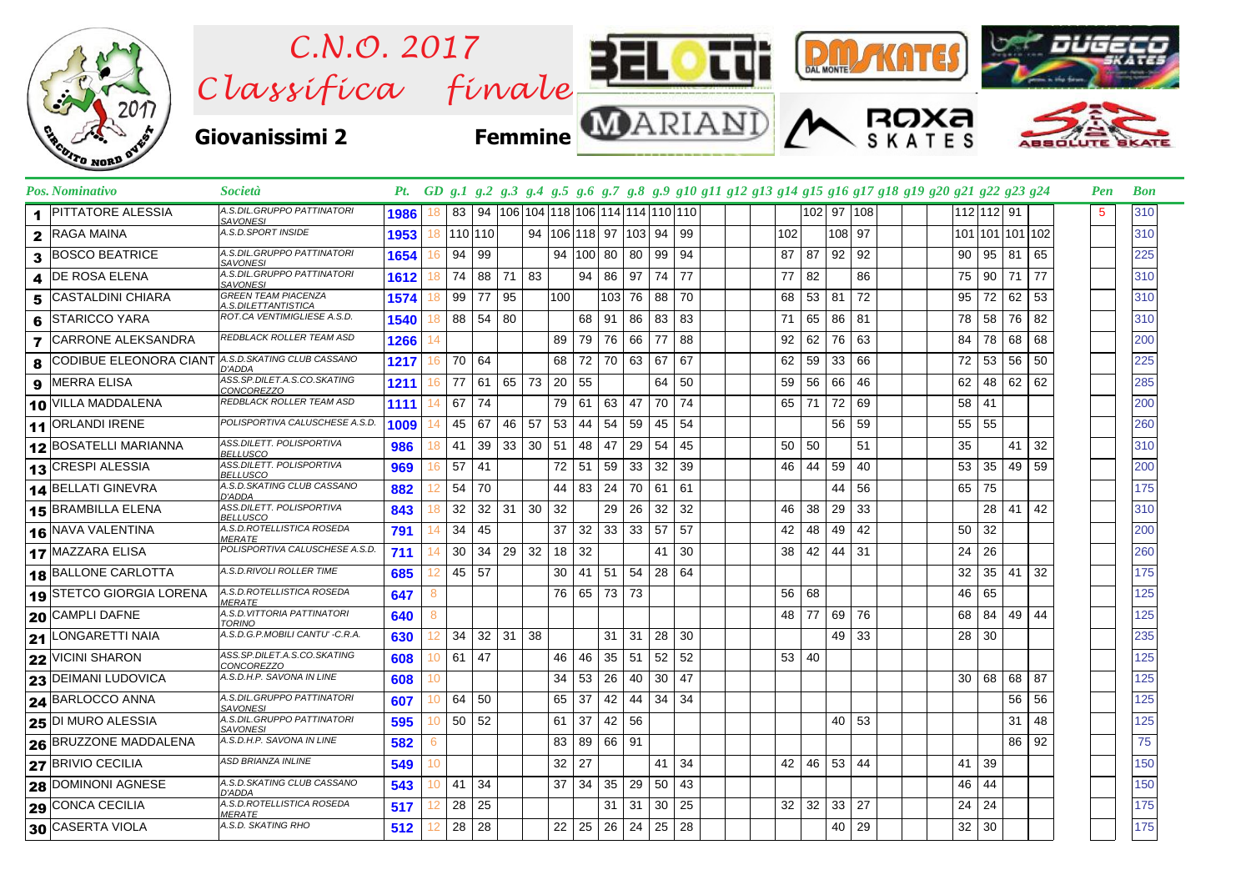

| Pos. Nominativo                                   | Società                                           |       |                 |       |       |                      |                                                         |         |     |          |                      |    |    |  |                 |                   |            |    | Pt. GD g.1 g.2 g.3 g.4 g.5 g.6 g.7 g.8 g.9 g10 g11 g12 g13 g14 g15 g16 g17 g18 g19 g20 g21 g22 g23 g24 |                 |              |      |                 | Pen | <b>Bon</b> |
|---------------------------------------------------|---------------------------------------------------|-------|-----------------|-------|-------|----------------------|---------------------------------------------------------|---------|-----|----------|----------------------|----|----|--|-----------------|-------------------|------------|----|--------------------------------------------------------------------------------------------------------|-----------------|--------------|------|-----------------|-----|------------|
| <b>PITTATORE ALESSIA</b>                          | A.S.DIL.GRUPPO PATTINATORI<br><b>SAVONESI</b>     | 1986  |                 |       |       |                      | 83   94   106   104   118   106   114   114   110   110 |         |     |          |                      |    |    |  |                 |                   | 102 97 108 |    |                                                                                                        |                 | 112 112 91   |      |                 | 5   | 310        |
| 2 RAGA MAINA                                      | A.S.D.SPORT INSIDE                                |       | 1953 18 110 110 |       |       |                      | 94   106   118   97   103   94                          |         |     |          |                      |    | 99 |  | 102             |                   | 108 97     |    |                                                                                                        |                 |              |      | 101 101 101 102 |     | 310        |
| <b>BOSCO BEATRICE</b><br>3                        | A.S.DIL.GRUPPO PATTINATORI<br><b>SAVONESI</b>     | 1654  | 16              | 94    | 99    |                      |                                                         |         |     |          | 94 100 80 80         | 99 | 94 |  | 87              | 87                | 92         | 92 |                                                                                                        | 90 <sub>1</sub> | 95           |      | 81 65           |     | 225        |
| <b>DE ROSA ELENA</b><br>4                         | A.S.DIL.GRUPPO PATTINATORI<br><b>SAVONESI</b>     | 1612  | 18              | 74    |       | 88 71 83             |                                                         |         | 94  |          | 86 97                | 74 | 77 |  | 77              | 82                |            | 86 |                                                                                                        | 75              | 90           |      | 71 77           |     | 310        |
| <b>CASTALDINI CHIARA</b><br>5                     | <b>GREEN TEAM PIACENZA</b><br>A.S.DILETTANTISTICA | 1574  |                 | 99    | 77    | 95                   |                                                         | 100     |     |          | 103 76               | 88 | 70 |  | 68              | $53 \mid 81$      |            | 72 |                                                                                                        | $95 \mid$       | 72           | 62 l | 53              |     | 310        |
| STARICCO YARA<br>6                                | ROT.CA VENTIMIGLIESE A.S.D.                       | 1540  |                 | 88    | 54 80 |                      |                                                         |         | 68  |          | 91 86                | 83 | 83 |  | 71              |                   | 65 86      | 81 |                                                                                                        | 78              | 58           | 76   | 82              |     | 310        |
| <b>CARRONE ALEKSANDRA</b><br>$\overline{7}$       | REDBLACK ROLLER TEAM ASD                          | 12661 | 14              |       |       |                      |                                                         | 89      |     |          | 79 76 66             | 77 | 88 |  | 92              | 62                | 76         | 63 |                                                                                                        | 84              | 78           | 68   | 68              |     | 200        |
| CODIBUE ELEONORA CIANT A.S.D.SKATING CLUB CASSANO | D'ADDA                                            | 1217  | 16              | 70 64 |       |                      |                                                         | 68      |     |          | 72 70 63             | 67 | 67 |  | 62              | 59                | 33         | 66 |                                                                                                        | 72              | 53           | 56   | 50              |     | 225        |
| <b>MERRA ELISA</b><br>9                           | ASS.SP.DILET.A.S.CO.SKATING<br><b>CONCOREZZO</b>  | 1211  | 16              | 77    |       |                      | 61 65 73 20 55                                          |         |     |          |                      | 64 | 50 |  | 59              | 56 66             |            | 46 |                                                                                                        | 62              | 48           |      | 62 62           |     | 285        |
| 10 VILLA MADDALENA                                | REDBLACK ROLLER TEAM ASD                          | 1111  |                 | 67    | 74    |                      |                                                         | 79 61   |     |          | 63 47                | 70 | 74 |  | 65              | 71                | 72         | 69 |                                                                                                        | 58 41           |              |      |                 |     | 200        |
| 11 ORLANDI IRENE                                  | POLISPORTIVA CALUSCHESE A.S.D.                    | 1009  | 14              | 45    | 67    | 46                   | 57                                                      | 53      | 44  | 54       | 59                   | 45 | 54 |  |                 |                   | 56         | 59 |                                                                                                        |                 | 55 55        |      |                 |     | 260        |
| 12 BOSATELLI MARIANNA                             | ASS.DILETT. POLISPORTIVA<br><b>BELLUSCO</b>       | 986   | 18              | 41    |       | $39 \mid 33 \mid 30$ |                                                         | 51      | 48  | 47       | 29                   | 54 | 45 |  | 50 <sub>1</sub> | 50                |            | 51 |                                                                                                        | 35              |              | 41   | 32              |     | 310        |
| 13 CRESPI ALESSIA                                 | ASS.DILETT. POLISPORTIVA<br><b>BELLUSCO</b>       | 969   | 16              | 57    | 41    |                      |                                                         | 72      | 51  |          | 59 33                | 32 | 39 |  | 46              | 44                | 59         | 40 |                                                                                                        |                 | 53 35        |      | 49 59           |     | 200        |
| 14 BELLATI GINEVRA                                | A.S.D.SKATING CLUB CASSANO<br>D'ADDA              | 882   |                 | 54    | 70    |                      |                                                         | 44      |     |          | 83 24 70             | 61 | 61 |  |                 |                   | 44         | 56 |                                                                                                        | 65 75           |              |      |                 |     | 175        |
| 15 BRAMBILLA ELENA                                | ASS.DILETT. POLISPORTIVA<br><b>BELLUSCO</b>       | 843   | 18              | 32    |       | $32$ 31 30           |                                                         | 32      |     |          | $29 \mid 26$         | 32 | 32 |  | 46              | 38                | 29         | 33 |                                                                                                        |                 | 28           | 41   | 42              |     | 310        |
| 16 NAVA VALENTINA                                 | A.S.D.ROTELLISTICA ROSEDA<br><b>MERATE</b>        | 791   | 14              | 34    | 45    |                      |                                                         | 37      |     |          | $32 \mid 33 \mid 33$ | 57 | 57 |  | 42              | 48                | 49         | 42 |                                                                                                        | 50              | 32           |      |                 |     | 200        |
| 17 MAZZARA ELISA                                  | POLISPORTIVA CALUSCHESE A.S.D.                    | 711   | 14              | 30    |       | $34 \mid 29 \mid 32$ |                                                         | $18$ 32 |     |          |                      | 41 | 30 |  | 38              | 42                | 44         | 31 |                                                                                                        |                 | $24 \mid 26$ |      |                 |     | 260        |
| 18 BALLONE CARLOTTA                               | A.S.D.RIVOLI ROLLER TIME                          | 685   | 12              | 45 57 |       |                      |                                                         | 30      | -41 |          | $51 \mid 54$         | 28 | 64 |  |                 |                   |            |    |                                                                                                        | 32              | 35           | 41   | 32              |     | 175        |
| 19 STETCO GIORGIA LORENA                          | A.S.D.ROTELLISTICA ROSEDA<br><b>MERATE</b>        | 647   | 8               |       |       |                      |                                                         |         |     |          | 76 65 73 73          |    |    |  | 56 68           |                   |            |    |                                                                                                        | 46              | 65           |      |                 |     | 125        |
| 20 CAMPLI DAFNE                                   | A.S.D.VITTORIA PATTINATORI<br><b>TORINO</b>       | 640   | 8               |       |       |                      |                                                         |         |     |          |                      |    |    |  | 48              | 77                | 69         | 76 |                                                                                                        |                 | 68 84        | 49   | 44              |     | 125        |
| 21 LONGARETTI NAIA                                | A.S.D.G.P.MOBILI CANTU' -C.R.A.                   | 630   |                 | 34    |       | $32 \mid 31 \mid 38$ |                                                         |         |     |          | $31 \quad 31$        | 28 | 30 |  |                 |                   | 49 33      |    |                                                                                                        |                 | 28 30        |      |                 |     | 235        |
| <b>22 VICINI SHARON</b>                           | ASS.SP.DILET.A.S.CO.SKATING<br>CONCOREZZO         | 608   | 10              | 61    | 47    |                      |                                                         | 46 46   |     |          | $35 \mid 51$         | 52 | 52 |  |                 | 53 40             |            |    |                                                                                                        |                 |              |      |                 |     | 125        |
| 23 DEIMANI LUDOVICA                               | A.S.D.H.P. SAVONA IN LINE                         | 608   | 10              |       |       |                      |                                                         | 34      | 53  |          | 26 40                | 30 | 47 |  |                 |                   |            |    |                                                                                                        | 30 68           |              | 68 l | 87              |     | 125        |
| 24 BARLOCCO ANNA                                  | A.S.DIL.GRUPPO PATTINATORI<br><b>SAVONESI</b>     | 607   | 10              | 64    | 50    |                      |                                                         | 65      | 37  |          | 42 44                | 34 | 34 |  |                 |                   |            |    |                                                                                                        |                 |              |      | 56 56           |     | 125        |
| <b>25 DI MURO ALESSIA</b>                         | A.S.DIL.GRUPPO PATTINATORI<br><b>SAVONESI</b>     | 595   | 10              | 50    | 52    |                      |                                                         | 61      | 37  |          | 42 56                |    |    |  |                 |                   | 40         | 53 |                                                                                                        |                 |              | 31   | 48              |     | 125        |
| 26 BRUZZONE MADDALENA                             | A.S.D.H.P. SAVONA IN LINE                         | 582   | 6               |       |       |                      |                                                         | 83      |     | 89 66 91 |                      |    |    |  |                 |                   |            |    |                                                                                                        |                 |              |      | 86 92           |     | 75         |
| 27 BRIVIO CECILIA                                 | ASD BRIANZA INLINE                                | 549   | 10              |       |       |                      |                                                         | 32      | 27  |          |                      | 41 | 34 |  | 42              |                   | 46 53 44   |    |                                                                                                        | 41 39           |              |      |                 |     | 150        |
| <b>28 DOMINONI AGNESE</b>                         | A.S.D.SKATING CLUB CASSANO<br>D'ADDA              | 543   | 10              | 41    | 34    |                      |                                                         | 37      | -34 |          | 35 29                | 50 | 43 |  |                 |                   |            |    |                                                                                                        | 46              | 44           |      |                 |     | 150        |
| 29 CONCA CECILIA                                  | A.S.D.ROTELLISTICA ROSEDA<br><b>MERATE</b>        | 517   |                 | 28    | 25    |                      |                                                         |         |     |          | $31 \mid 31$         | 30 | 25 |  |                 | $32 \mid 32 \mid$ | 33 27      |    |                                                                                                        | $24$ 24         |              |      |                 |     | 175        |
| 30 CASERTA VIOLA                                  | A.S.D. SKATING RHO                                | 512   | 12              | 28    | 28    |                      |                                                         | 22      | 25  |          | $26 \mid 24$         | 25 | 28 |  |                 |                   | 40 l       | 29 |                                                                                                        |                 | 32 30        |      |                 |     | 175        |